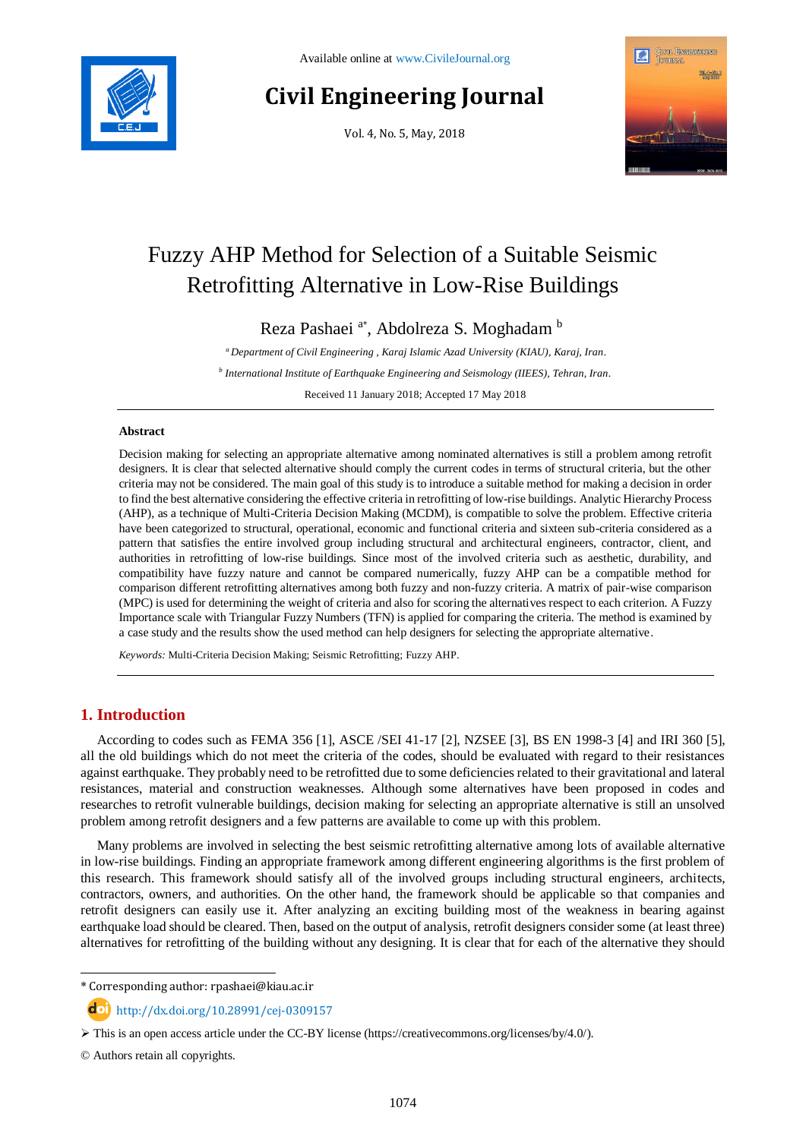# **Civil Engineering Journal**

Vol. 4, No. 5, May, 2018



# Fuzzy AHP Method for Selection of a Suitable Seismic Retrofitting Alternative in Low-Rise Buildings

Reza Pashaei <sup>a\*</sup>, Abdolreza S. Moghadam b

*<sup>a</sup> Department of Civil Engineering , Karaj Islamic Azad University (KIAU), Karaj, Iran. b International Institute of Earthquake Engineering and Seismology (IIEES), Tehran, Iran.*

Received 11 January 2018; Accepted 17 May 2018

#### **Abstract**

Decision making for selecting an appropriate alternative among nominated alternatives is still a problem among retrofit designers. It is clear that selected alternative should comply the current codes in terms of structural criteria, but the other criteria may not be considered. The main goal of this study is to introduce a suitable method for making a decision in order to find the best alternative considering the effective criteria in retrofitting of low-rise buildings. Analytic Hierarchy Process (AHP), as a technique of Multi-Criteria Decision Making (MCDM), is compatible to solve the problem. Effective criteria have been categorized to structural, operational, economic and functional criteria and sixteen sub-criteria considered as a pattern that satisfies the entire involved group including structural and architectural engineers, contractor, client, and authorities in retrofitting of low-rise buildings. Since most of the involved criteria such as aesthetic, durability, and compatibility have fuzzy nature and cannot be compared numerically, fuzzy AHP can be a compatible method for comparison different retrofitting alternatives among both fuzzy and non-fuzzy criteria. A matrix of pair-wise comparison (MPC) is used for determining the weight of criteria and also for scoring the alternatives respect to each criterion. A Fuzzy Importance scale with Triangular Fuzzy Numbers (TFN) is applied for comparing the criteria. The method is examined by a case study and the results show the used method can help designers for selecting the appropriate alternative.

*Keywords:* Multi-Criteria Decision Making; Seismic Retrofitting; Fuzzy AHP.

# **1. Introduction**

According to codes such as FEMA 356 [1], ASCE /SEI 41-17 [2], NZSEE [3], BS EN 1998-3 [4] and IRI 360 [5], all the old buildings which do not meet the criteria of the codes, should be evaluated with regard to their resistances against earthquake. They probably need to be retrofitted due to some deficiencies related to their gravitational and lateral resistances, material and construction weaknesses. Although some alternatives have been proposed in codes and researches to retrofit vulnerable buildings, decision making for selecting an appropriate alternative is still an unsolved problem among retrofit designers and a few patterns are available to come up with this problem.

Many problems are involved in selecting the best seismic retrofitting alternative among lots of available alternative in low-rise buildings. Finding an appropriate framework among different engineering algorithms is the first problem of this research. This framework should satisfy all of the involved groups including structural engineers, architects, contractors, owners, and authorities. On the other hand, the framework should be applicable so that companies and retrofit designers can easily use it. After analyzing an exciting building most of the weakness in bearing against earthquake load should be cleared. Then, based on the output of analysis, retrofit designers consider some (at least three) alternatives for retrofitting of the building without any designing. It is clear that for each of the alternative they should

l

<sup>\*</sup> Corresponding author: rpashaei@kiau.ac.ir

http://dx.doi.org/10.28991/cej-0309157

 $\triangleright$  This is an open access article under the CC-BY license [\(https://creativecommons.org/licenses/by/4.0/\)](https://creativecommons.org/licenses/by/4.0/).

<sup>©</sup> Authors retain all copyrights.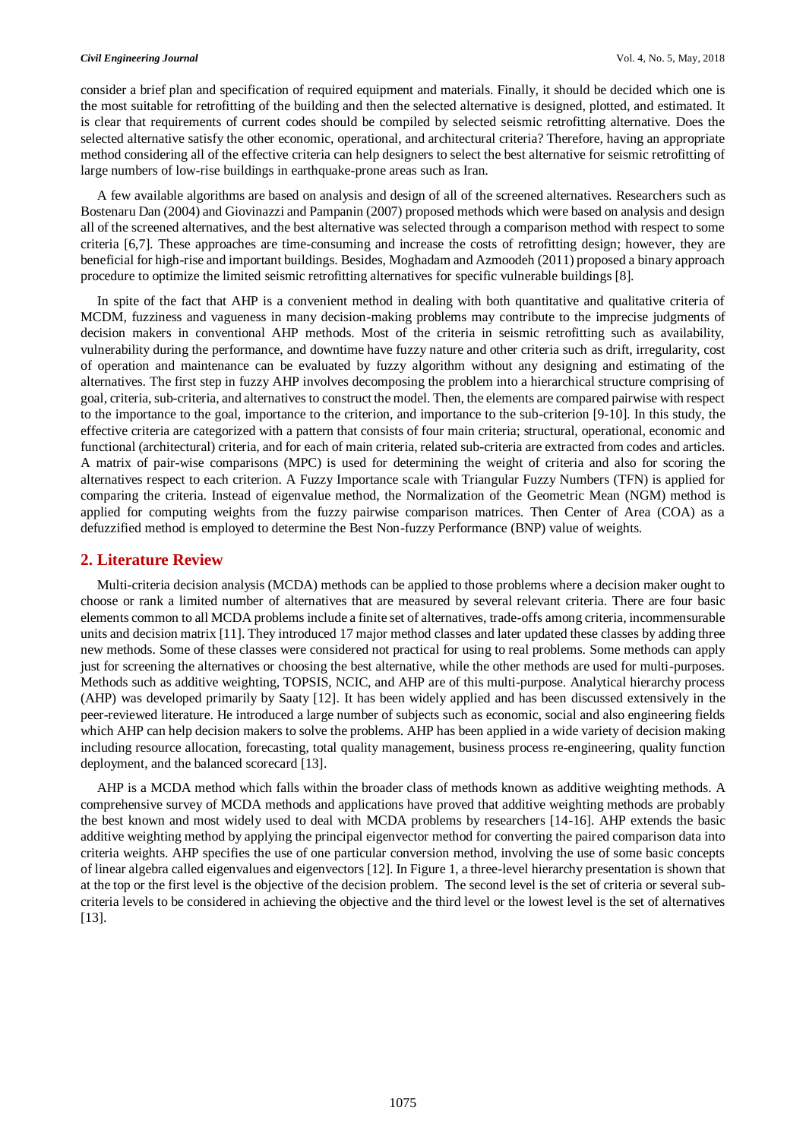#### *Civil Engineering Journal* Vol. 4, No. 5, May, 2018

consider a brief plan and specification of required equipment and materials. Finally, it should be decided which one is the most suitable for retrofitting of the building and then the selected alternative is designed, plotted, and estimated. It is clear that requirements of current codes should be compiled by selected seismic retrofitting alternative. Does the selected alternative satisfy the other economic, operational, and architectural criteria? Therefore, having an appropriate method considering all of the effective criteria can help designers to select the best alternative for seismic retrofitting of large numbers of low-rise buildings in earthquake-prone areas such as Iran.

A few available algorithms are based on analysis and design of all of the screened alternatives. Researchers such as Bostenaru Dan (2004) and Giovinazzi and Pampanin (2007) proposed methods which were based on analysis and design all of the screened alternatives, and the best alternative was selected through a comparison method with respect to some criteria [6,7]. These approaches are time-consuming and increase the costs of retrofitting design; however, they are beneficial for high-rise and important buildings. Besides, Moghadam and Azmoodeh (2011) proposed a binary approach procedure to optimize the limited seismic retrofitting alternatives for specific vulnerable buildings [8].

In spite of the fact that AHP is a convenient method in dealing with both quantitative and qualitative criteria of MCDM, fuzziness and vagueness in many decision-making problems may contribute to the imprecise judgments of decision makers in conventional AHP methods. Most of the criteria in seismic retrofitting such as availability, vulnerability during the performance, and downtime have fuzzy nature and other criteria such as drift, irregularity, cost of operation and maintenance can be evaluated by fuzzy algorithm without any designing and estimating of the alternatives. The first step in fuzzy AHP involves decomposing the problem into a hierarchical structure comprising of goal, criteria, sub-criteria, and alternatives to construct the model. Then, the elements are compared pairwise with respect to the importance to the goal, importance to the criterion, and importance to the sub-criterion [9-10]. In this study, the effective criteria are categorized with a pattern that consists of four main criteria; structural, operational, economic and functional (architectural) criteria, and for each of main criteria, related sub-criteria are extracted from codes and articles. A matrix of pair-wise comparisons (MPC) is used for determining the weight of criteria and also for scoring the alternatives respect to each criterion. A Fuzzy Importance scale with Triangular Fuzzy Numbers (TFN) is applied for comparing the criteria. Instead of eigenvalue method, the Normalization of the Geometric Mean (NGM) method is applied for computing weights from the fuzzy pairwise comparison matrices. Then Center of Area (COA) as a defuzzified method is employed to determine the Best Non-fuzzy Performance (BNP) value of weights.

# **2. Literature Review**

Multi-criteria decision analysis (MCDA) methods can be applied to those problems where a decision maker ought to choose or rank a limited number of alternatives that are measured by several relevant criteria. There are four basic elements common to all MCDA problems include a finite set of alternatives, trade-offs among criteria, incommensurable units and decision matrix [11]. They introduced 17 major method classes and later updated these classes by adding three new methods. Some of these classes were considered not practical for using to real problems. Some methods can apply just for screening the alternatives or choosing the best alternative, while the other methods are used for multi-purposes. Methods such as additive weighting, TOPSIS, NCIC, and AHP are of this multi-purpose. Analytical hierarchy process (AHP) was developed primarily by Saaty [12]. It has been widely applied and has been discussed extensively in the peer-reviewed literature. He introduced a large number of subjects such as economic, social and also engineering fields which AHP can help decision makers to solve the problems. AHP has been applied in a wide variety of decision making including resource allocation, forecasting, total quality management, business process re-engineering, quality function deployment, and the balanced scorecard [13].

AHP is a MCDA method which falls within the broader class of methods known as additive weighting methods. A comprehensive survey of MCDA methods and applications have proved that additive weighting methods are probably the best known and most widely used to deal with MCDA problems by researchers [14-16]. AHP extends the basic additive weighting method by applying the principal eigenvector method for converting the paired comparison data into criteria weights. AHP specifies the use of one particular conversion method, involving the use of some basic concepts of linear algebra called eigenvalues and eigenvectors [12]. In Figure 1, a three-level hierarchy presentation is shown that at the top or the first level is the objective of the decision problem. The second level is the set of criteria or several subcriteria levels to be considered in achieving the objective and the third level or the lowest level is the set of alternatives [13].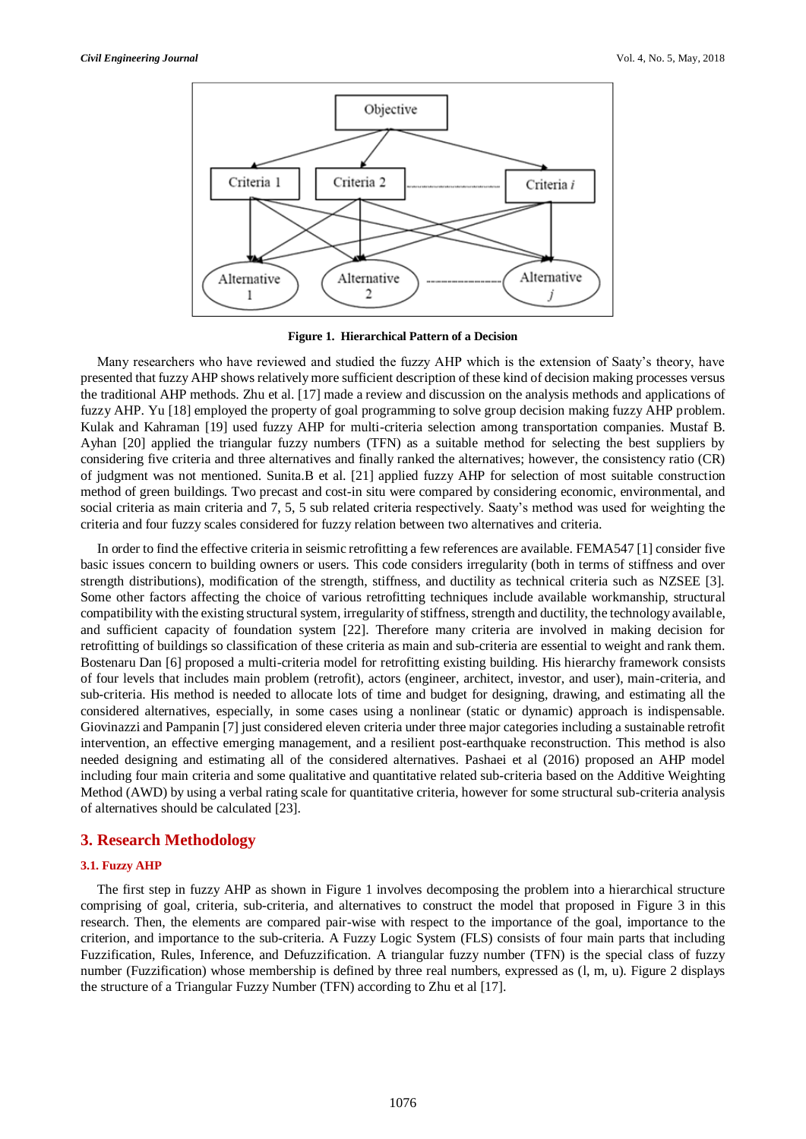

**Figure 1. Hierarchical Pattern of a Decision**

Many researchers who have reviewed and studied the fuzzy AHP which is the extension of Saaty's theory, have presented that fuzzy AHP shows relatively more sufficient description of these kind of decision making processes versus the traditional AHP methods. Zhu et al. [17] made a review and discussion on the analysis methods and applications of fuzzy AHP. Yu [18] employed the property of goal programming to solve group decision making fuzzy AHP problem. Kulak and Kahraman [19] used fuzzy AHP for multi-criteria selection among transportation companies. Mustaf B. Ayhan [20] applied the triangular fuzzy numbers (TFN) as a suitable method for selecting the best suppliers by considering five criteria and three alternatives and finally ranked the alternatives; however, the consistency ratio (CR) of judgment was not mentioned. Sunita.B et al. [21] applied fuzzy AHP for selection of most suitable construction method of green buildings. Two precast and cost-in situ were compared by considering economic, environmental, and social criteria as main criteria and 7, 5, 5 sub related criteria respectively. Saaty's method was used for weighting the criteria and four fuzzy scales considered for fuzzy relation between two alternatives and criteria.

In order to find the effective criteria in seismic retrofitting a few references are available. FEMA547 [1] consider five basic issues concern to building owners or users. This code considers irregularity (both in terms of stiffness and over strength distributions), modification of the strength, stiffness, and ductility as technical criteria such as NZSEE [3]. Some other factors affecting the choice of various retrofitting techniques include available workmanship, structural compatibility with the existing structural system, irregularity of stiffness, strength and ductility, the technology available, and sufficient capacity of foundation system [22]. Therefore many criteria are involved in making decision for retrofitting of buildings so classification of these criteria as main and sub-criteria are essential to weight and rank them. Bostenaru Dan [6] proposed a multi-criteria model for retrofitting existing building. His hierarchy framework consists of four levels that includes main problem (retrofit), actors (engineer, architect, investor, and user), main-criteria, and sub-criteria. His method is needed to allocate lots of time and budget for designing, drawing, and estimating all the considered alternatives, especially, in some cases using a nonlinear (static or dynamic) approach is indispensable. Giovinazzi and Pampanin [7] just considered eleven criteria under three major categories including a sustainable retrofit intervention, an effective emerging management, and a resilient post-earthquake reconstruction. This method is also needed designing and estimating all of the considered alternatives. Pashaei et al (2016) proposed an AHP model including four main criteria and some qualitative and quantitative related sub-criteria based on the Additive Weighting Method (AWD) by using a verbal rating scale for quantitative criteria, however for some structural sub-criteria analysis of alternatives should be calculated [23].

# **3. Research Methodology**

## **3.1. Fuzzy AHP**

The first step in fuzzy AHP as shown in Figure 1 involves decomposing the problem into a hierarchical structure comprising of goal, criteria, sub-criteria, and alternatives to construct the model that proposed in Figure 3 in this research. Then, the elements are compared pair-wise with respect to the importance of the goal, importance to the criterion, and importance to the sub-criteria. A Fuzzy Logic System (FLS) consists of four main parts that including Fuzzification, Rules, Inference, and Defuzzification. A triangular fuzzy number (TFN) is the special class of fuzzy number (Fuzzification) whose membership is defined by three real numbers, expressed as (l, m, u). Figure 2 displays the structure of a Triangular Fuzzy Number (TFN) according to Zhu et al [17].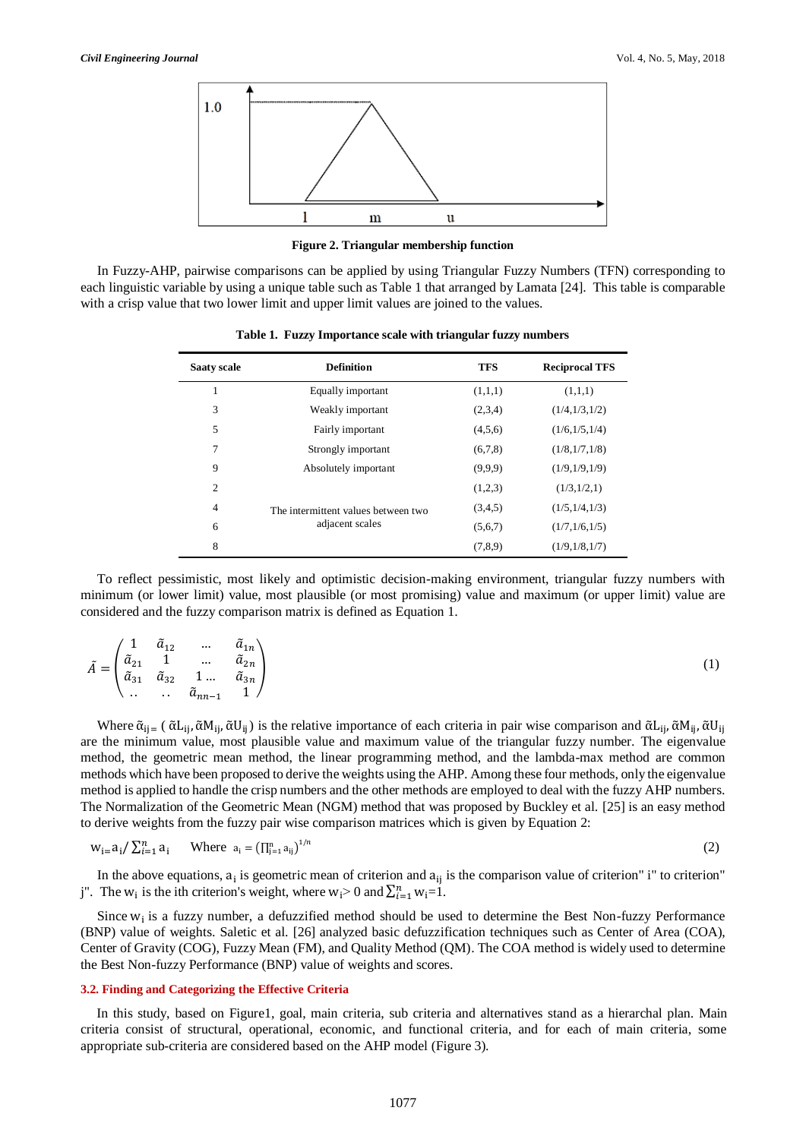

**Figure 2. Triangular membership function** 

In Fuzzy-AHP, pairwise comparisons can be applied by using Triangular Fuzzy Numbers (TFN) corresponding to each linguistic variable by using a unique table such as Table 1 that arranged by Lamata [24]. This table is comparable with a crisp value that two lower limit and upper limit values are joined to the values.

| <b>Saaty scale</b> | <b>Definition</b>                   | <b>TFS</b> | <b>Reciprocal TFS</b> |
|--------------------|-------------------------------------|------------|-----------------------|
|                    | Equally important                   | (1,1,1)    | (1,1,1)               |
| 3                  | Weakly important                    | (2,3,4)    | (1/4,1/3,1/2)         |
| 5                  | Fairly important                    | (4,5,6)    | (1/6, 1/5, 1/4)       |
| 7                  | Strongly important                  | (6,7,8)    | (1/8,1/7,1/8)         |
| 9                  | Absolutely important                | (9,9,9)    | (1/9,1/9,1/9)         |
| $\overline{c}$     |                                     | (1,2,3)    | (1/3,1/2,1)           |
| $\overline{4}$     | The intermittent values between two | (3,4,5)    | (1/5,1/4,1/3)         |
| 6                  | adjacent scales                     | (5,6,7)    | (1/7,1/6,1/5)         |
| 8                  |                                     | (7,8.9)    | (1/9,1/8,1/7)         |

**Table 1. Fuzzy Importance scale with triangular fuzzy numbers**

To reflect pessimistic, most likely and optimistic decision-making environment, triangular fuzzy numbers with minimum (or lower limit) value, most plausible (or most promising) value and maximum (or upper limit) value are considered and the fuzzy comparison matrix is defined as Equation 1.

| $\begin{pmatrix} 1 \end{pmatrix}$ | $\tilde{a}_{12}$ | $\sim$ 100 $\mu$                                                                                                                                                           | $\tilde{a}_{1n}$ |
|-----------------------------------|------------------|----------------------------------------------------------------------------------------------------------------------------------------------------------------------------|------------------|
|                                   |                  |                                                                                                                                                                            |                  |
|                                   |                  | $\tilde{A} = \begin{pmatrix} 1 & 1 & \dots & 1 \\ \tilde{a}_{21} & 1 & \dots & \tilde{a}_{2n} \\ \tilde{a}_{31} & \tilde{a}_{32} & 1 \dots & \tilde{a}_{3n} \end{pmatrix}$ |                  |
| $\setminus \ldots$                |                  | $\ldots \quad \tilde{a}_{nn-1} \quad 1$                                                                                                                                    |                  |

Where  $\tilde{\alpha}_{ij}$  ( $\tilde{\alpha}L_{ij}, \tilde{\alpha}M_{ij}, \tilde{\alpha}U_{ij}$ ) is the relative importance of each criteria in pair wise comparison and  $\tilde{\alpha}L_{ij}, \tilde{\alpha}M_{ij}, \tilde{\alpha}U_{ij}$ are the minimum value, most plausible value and maximum value of the triangular fuzzy number. The eigenvalue method, the geometric mean method, the linear programming method, and the lambda-max method are common methods which have been proposed to derive the weights using the AHP. Among these four methods, only the eigenvalue method is applied to handle the crisp numbers and the other methods are employed to deal with the fuzzy AHP numbers. The Normalization of the Geometric Mean (NGM) method that was proposed by Buckley et al. [25] is an easy method to derive weights from the fuzzy pair wise comparison matrices which is given by Equation 2:

$$
w_{i=1} \sum_{i=1}^{n} a_i \qquad \text{Where } a_i = \left(\prod_{j=1}^{n} a_{ij}\right)^{1/n} \tag{2}
$$

In the above equations,  $a_i$  is geometric mean of criterion and  $a_{ij}$  is the comparison value of criterion" i" to criterion" j". The  $w_i$  is the ith criterion's weight, where  $w_i > 0$  and  $\sum_{i=1}^n w_i = 1$ .

Since  $w_i$  is a fuzzy number, a defuzzified method should be used to determine the Best Non-fuzzy Performance (BNP) value of weights. Saletic et al. [26] analyzed basic defuzzification techniques such as Center of Area (COA), Center of Gravity (COG), Fuzzy Mean (FM), and Quality Method (QM). The COA method is widely used to determine the Best Non-fuzzy Performance (BNP) value of weights and scores.

#### **3.2. Finding and Categorizing the Effective Criteria**

In this study, based on Figure1, goal, main criteria, sub criteria and alternatives stand as a hierarchal plan. Main criteria consist of structural, operational, economic, and functional criteria, and for each of main criteria, some appropriate sub-criteria are considered based on the AHP model (Figure 3).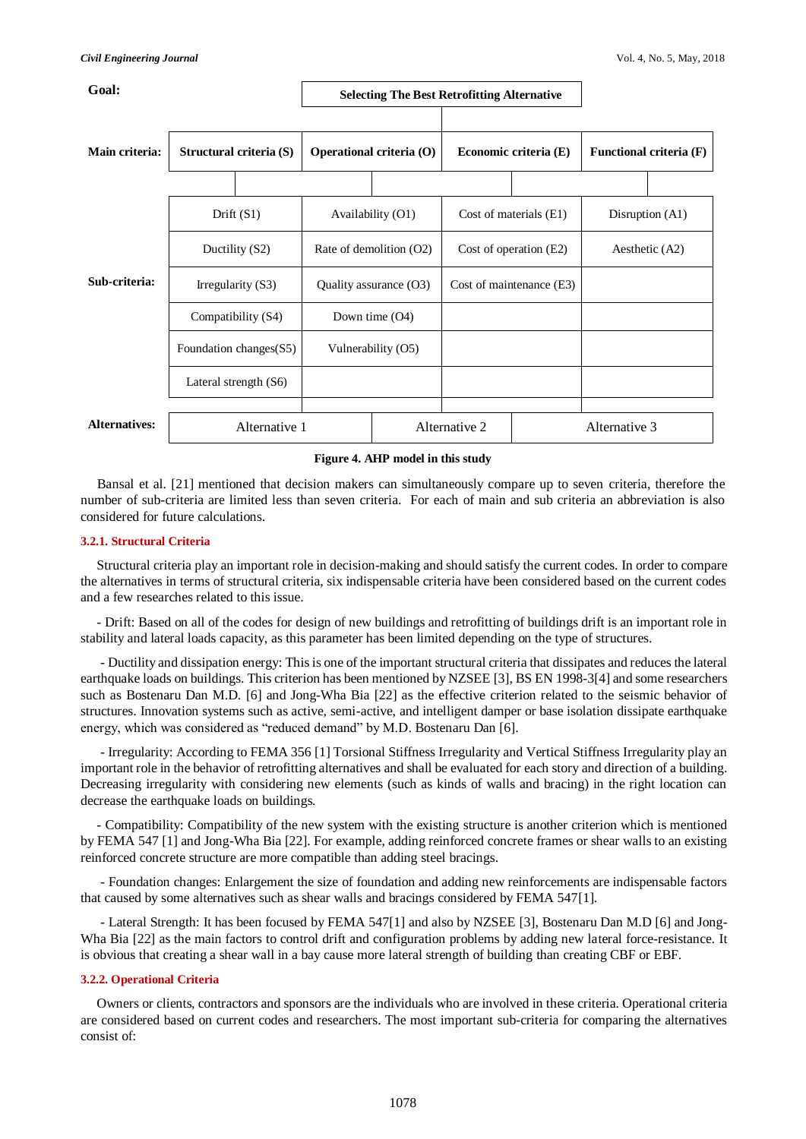| Goal:                |                                              |                         | <b>Selecting The Best Retrofitting Alternative</b> |                          |                          |                                |                   |  |
|----------------------|----------------------------------------------|-------------------------|----------------------------------------------------|--------------------------|--------------------------|--------------------------------|-------------------|--|
| Main criteria:       |                                              | Structural criteria (S) | <b>Operational criteria (O)</b>                    |                          | Economic criteria (E)    | <b>Functional criteria (F)</b> |                   |  |
|                      |                                              | Drift $(S1)$            | Availability (O1)                                  |                          | Cost of materials (E1)   |                                | Disruption $(A1)$ |  |
| Ductility (S2)       |                                              | Rate of demolition (O2) |                                                    | Cost of operation $(E2)$ | Aesthetic (A2)           |                                |                   |  |
| Sub-criteria:        |                                              | Irregularity $(S3)$     | Quality assurance (O3)                             |                          | Cost of maintenance (E3) |                                |                   |  |
|                      | Compatibility (S4)<br>Foundation changes(S5) |                         | Down time $(O4)$                                   |                          |                          |                                |                   |  |
|                      |                                              |                         | Vulnerability (O5)                                 |                          |                          |                                |                   |  |
|                      |                                              | Lateral strength $(S6)$ |                                                    |                          |                          |                                |                   |  |
| <b>Alternatives:</b> |                                              | Alternative 1           |                                                    | Alternative 2            |                          | Alternative 3                  |                   |  |

#### **Figure 4. AHP model in this study**

Bansal et al. [21] mentioned that decision makers can simultaneously compare up to seven criteria, therefore the number of sub-criteria are limited less than seven criteria. For each of main and sub criteria an abbreviation is also considered for future calculations.

### **3.2.1. Structural Criteria**

Structural criteria play an important role in decision-making and should satisfy the current codes. In order to compare the alternatives in terms of structural criteria, six indispensable criteria have been considered based on the current codes and a few researches related to this issue.

- Drift: Based on all of the codes for design of new buildings and retrofitting of buildings drift is an important role in stability and lateral loads capacity, as this parameter has been limited depending on the type of structures.

- Ductility and dissipation energy: This is one of the important structural criteria that dissipates and reduces the lateral earthquake loads on buildings. This criterion has been mentioned by NZSEE [3], BS EN 1998-3[4] and some researchers such as Bostenaru Dan M.D. [6] and Jong-Wha Bia [22] as the effective criterion related to the seismic behavior of structures. Innovation systems such as active, semi-active, and intelligent damper or base isolation dissipate earthquake energy, which was considered as "reduced demand" by M.D. Bostenaru Dan [6].

- Irregularity: According to FEMA 356 [1] Torsional Stiffness Irregularity and Vertical Stiffness Irregularity play an important role in the behavior of retrofitting alternatives and shall be evaluated for each story and direction of a building. Decreasing irregularity with considering new elements (such as kinds of walls and bracing) in the right location can decrease the earthquake loads on buildings.

- Compatibility: Compatibility of the new system with the existing structure is another criterion which is mentioned by FEMA 547 [1] and Jong-Wha Bia [22]. For example, adding reinforced concrete frames or shear walls to an existing reinforced concrete structure are more compatible than adding steel bracings.

- Foundation changes: Enlargement the size of foundation and adding new reinforcements are indispensable factors that caused by some alternatives such as shear walls and bracings considered by FEMA 547[1].

- Lateral Strength: It has been focused by FEMA 547[1] and also by NZSEE [3], Bostenaru Dan M.D [6] and Jong-Wha Bia [22] as the main factors to control drift and configuration problems by adding new lateral force-resistance. It is obvious that creating a shear wall in a bay cause more lateral strength of building than creating CBF or EBF.

## **3.2.2. Operational Criteria**

Owners or clients, contractors and sponsors are the individuals who are involved in these criteria. Operational criteria are considered based on current codes and researchers. The most important sub-criteria for comparing the alternatives consist of: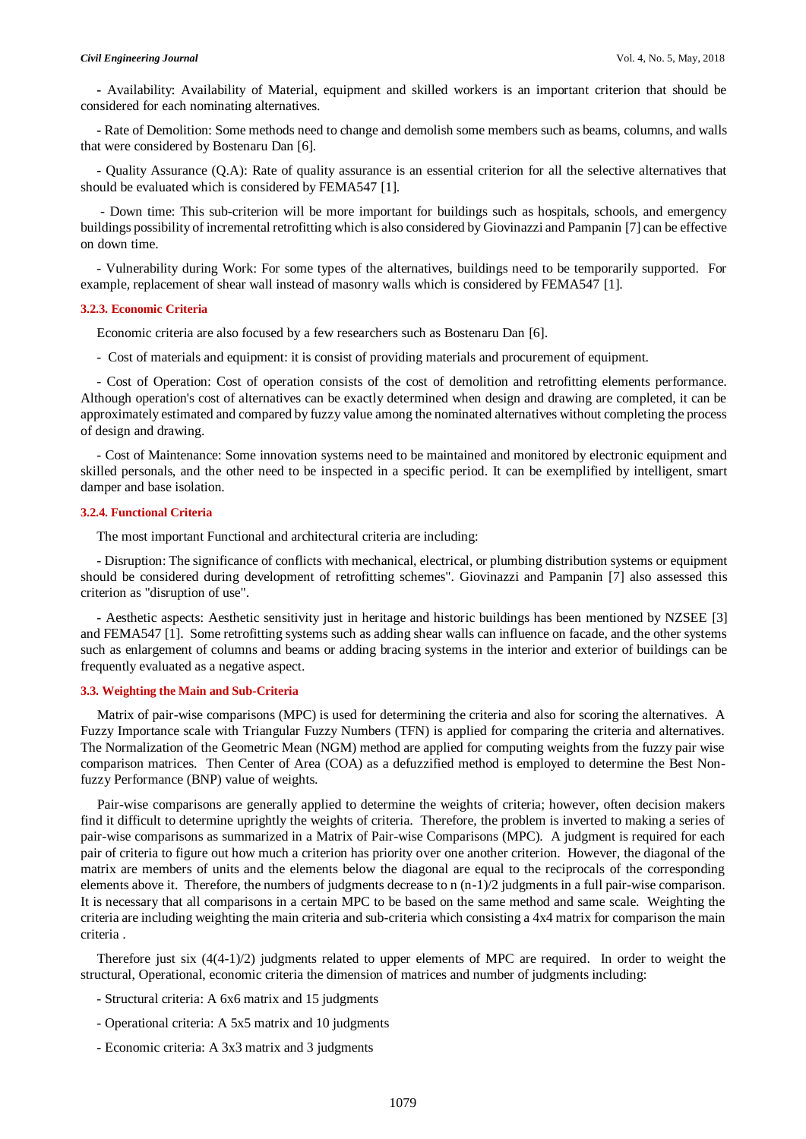**-** Availability: Availability of Material, equipment and skilled workers is an important criterion that should be considered for each nominating alternatives.

**-** Rate of Demolition: Some methods need to change and demolish some members such as beams, columns, and walls that were considered by Bostenaru Dan [6].

**-** Quality Assurance (Q.A): Rate of quality assurance is an essential criterion for all the selective alternatives that should be evaluated which is considered by FEMA547 [1].

- Down time: This sub-criterion will be more important for buildings such as hospitals, schools, and emergency buildings possibility of incremental retrofitting which is also considered by Giovinazzi and Pampanin [7] can be effective on down time.

- Vulnerability during Work: For some types of the alternatives, buildings need to be temporarily supported. For example, replacement of shear wall instead of masonry walls which is considered by FEMA547 [1].

#### **3.2.3. Economic Criteria**

Economic criteria are also focused by a few researchers such as Bostenaru Dan [6].

- Cost of materials and equipment: it is consist of providing materials and procurement of equipment.

- Cost of Operation: Cost of operation consists of the cost of demolition and retrofitting elements performance. Although operation's cost of alternatives can be exactly determined when design and drawing are completed, it can be approximately estimated and compared by fuzzy value among the nominated alternatives without completing the process of design and drawing.

- Cost of Maintenance: Some innovation systems need to be maintained and monitored by electronic equipment and skilled personals, and the other need to be inspected in a specific period. It can be exemplified by intelligent, smart damper and base isolation.

### **3.2.4. Functional Criteria**

The most important Functional and architectural criteria are including:

- Disruption: The significance of conflicts with mechanical, electrical, or plumbing distribution systems or equipment should be considered during development of retrofitting schemes". Giovinazzi and Pampanin [7] also assessed this criterion as "disruption of use".

- Aesthetic aspects: Aesthetic sensitivity just in heritage and historic buildings has been mentioned by NZSEE [3] and FEMA547 [1]. Some retrofitting systems such as adding shear walls can influence on facade, and the other systems such as enlargement of columns and beams or adding bracing systems in the interior and exterior of buildings can be frequently evaluated as a negative aspect.

## **3.3. Weighting the Main and Sub-Criteria**

Matrix of pair-wise comparisons (MPC) is used for determining the criteria and also for scoring the alternatives. A Fuzzy Importance scale with Triangular Fuzzy Numbers (TFN) is applied for comparing the criteria and alternatives. The Normalization of the Geometric Mean (NGM) method are applied for computing weights from the fuzzy pair wise comparison matrices. Then Center of Area (COA) as a defuzzified method is employed to determine the Best Nonfuzzy Performance (BNP) value of weights.

Pair-wise comparisons are generally applied to determine the weights of criteria; however, often decision makers find it difficult to determine uprightly the weights of criteria. Therefore, the problem is inverted to making a series of pair-wise comparisons as summarized in a Matrix of Pair-wise Comparisons (MPC). A judgment is required for each pair of criteria to figure out how much a criterion has priority over one another criterion. However, the diagonal of the matrix are members of units and the elements below the diagonal are equal to the reciprocals of the corresponding elements above it. Therefore, the numbers of judgments decrease to  $n (n-1)/2$  judgments in a full pair-wise comparison. It is necessary that all comparisons in a certain MPC to be based on the same method and same scale. Weighting the criteria are including weighting the main criteria and sub-criteria which consisting a 4x4 matrix for comparison the main criteria .

Therefore just six  $(4(4-1)/2)$  judgments related to upper elements of MPC are required. In order to weight the structural, Operational, economic criteria the dimension of matrices and number of judgments including:

- Structural criteria: A 6x6 matrix and 15 judgments
- Operational criteria: A 5x5 matrix and 10 judgments
- Economic criteria: A 3x3 matrix and 3 judgments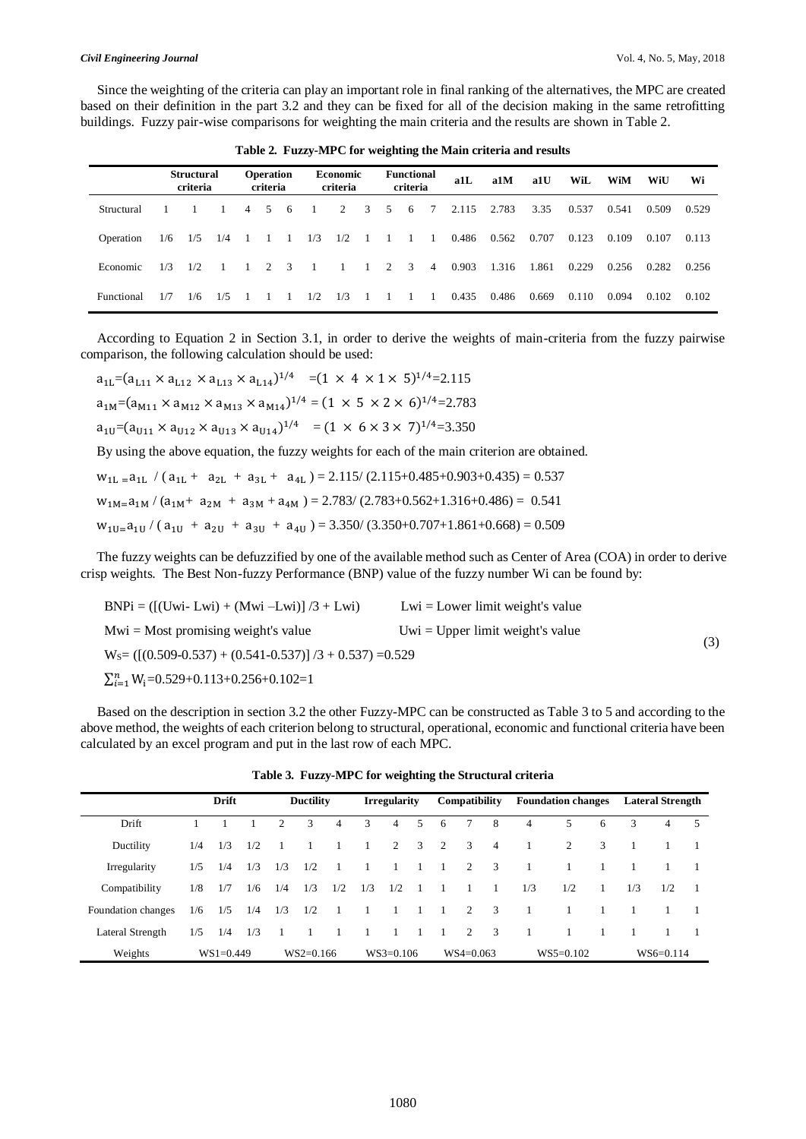Since the weighting of the criteria can play an important role in final ranking of the alternatives, the MPC are created based on their definition in the part 3.2 and they can be fixed for all of the decision making in the same retrofitting buildings. Fuzzy pair-wise comparisons for weighting the main criteria and the results are shown in Table 2.

|                   |     | <b>Structural</b><br>criteria |     |                | <b>Operation</b><br>criteria |          |                | <b>Economic</b><br>criteria |                | <b>Functional</b><br>criteria |                 | a1L   | a1M   | a1U   | WiL   | WiM   | WiU   | Wi    |
|-------------------|-----|-------------------------------|-----|----------------|------------------------------|----------|----------------|-----------------------------|----------------|-------------------------------|-----------------|-------|-------|-------|-------|-------|-------|-------|
| Structural        |     |                               |     | $\overline{4}$ |                              | 5 6      | $\overline{1}$ |                             |                | $2 \t3 \t5 \t6$               | $7\overline{ }$ | 2.115 | 2.783 | 3.35  | 0.537 | 0.541 | 0.509 | 0.529 |
| Operation         | 1/6 | 1/5                           | 1/4 | $\overline{1}$ |                              | $\sim$ 1 | 1/3            | 1/2                         | $\overline{1}$ | 1 1 1                         |                 | 0.486 | 0.562 | 0.707 | 0.123 | 0.109 | 0.107 | 0.113 |
| Economic          | 1/3 | 1/2                           |     | $\sim$ 1       |                              | 2 3      | $\sim$ 1       | $\sim$ 1                    | $\sim$ 1       | 2 3 4                         |                 | 0.903 | 1.316 | 1.861 | 0.229 | 0.256 | 0.282 | 0.256 |
| <b>Functional</b> | 1/7 | 1/6                           | 1/5 |                |                              |          | 1/2            | 1/3                         |                |                               | $\sim$ 1        | 0.435 | 0.486 | 0.669 | 0.110 | 0.094 | 0.102 | 0.102 |

**Table 2. Fuzzy-MPC for weighting the Main criteria and results**

According to Equation 2 in Section 3.1, in order to derive the weights of main-criteria from the fuzzy pairwise comparison, the following calculation should be used:

$$
a_{1L} = (a_{L11} \times a_{L12} \times a_{L13} \times a_{L14})^{1/4} = (1 \times 4 \times 1 \times 5)^{1/4} = 2.115
$$
  
\n
$$
a_{1M} = (a_{M11} \times a_{M12} \times a_{M13} \times a_{M14})^{1/4} = (1 \times 5 \times 2 \times 6)^{1/4} = 2.783
$$
  
\n
$$
a_{1U} = (a_{U11} \times a_{U12} \times a_{U13} \times a_{U14})^{1/4} = (1 \times 6 \times 3 \times 7)^{1/4} = 3.350
$$
  
\nBy using the above equation, the fuzzy weights for each of the main criterion are obtained.  
\n
$$
w_{1L} = a_{1L} / (a_{1L} + a_{2L} + a_{3L} + a_{4L}) = 2.115 / (2.115 + 0.485 + 0.903 + 0.435) = 0.537
$$
  
\n
$$
w_{1M} = a_{1M} / (a_{1M} + a_{2M} + a_{3M} + a_{4M}) = 2.783 / (2.783 + 0.562 + 1.316 + 0.486) = 0.541
$$

 $w_{1U=}a_{1U} / (a_{1U} + a_{2U} + a_{3U} + a_{4U}) = 3.350 / (3.350 + 0.707 + 1.861 + 0.668) = 0.509$ 

The fuzzy weights can be defuzzified by one of the available method such as Center of Area (COA) in order to derive crisp weights. The Best Non-fuzzy Performance (BNP) value of the fuzzy number Wi can be found by:

| $BNPi = ([(Uwi-Lwi) + (Mwi-Lwi)]/3 + Lwi)$                     | $Lwi = Lower limit weight's value$ |     |
|----------------------------------------------------------------|------------------------------------|-----|
| $Mwi = Most promising weight's value$                          | $Uwi = Upper limit weight's value$ |     |
| $WS = ([(0.509 - 0.537) + (0.541 - 0.537)]/3 + 0.537) = 0.529$ |                                    | (3) |
| $\sum_{i=1}^{n} W_i = 0.529 + 0.113 + 0.256 + 0.102 = 1$       |                                    |     |

Based on the description in section 3.2 the other Fuzzy-MPC can be constructed as Table 3 to 5 and according to the above method, the weights of each criterion belong to structural, operational, economic and functional criteria have been calculated by an excel program and put in the last row of each MPC.

|                    | <b>Drift</b> |             | <b>Ductility</b> |     |             | <b>Irregularity</b> |                | Compatibility  |   | <b>Foundation changes</b> |                         |                           | <b>Lateral Strength</b> |             |              |     |             |    |
|--------------------|--------------|-------------|------------------|-----|-------------|---------------------|----------------|----------------|---|---------------------------|-------------------------|---------------------------|-------------------------|-------------|--------------|-----|-------------|----|
| Drift              |              |             |                  | 2   | 3           | $\overline{4}$      | 3              | $\overline{4}$ | 5 | -6                        | 7                       | 8                         | 4                       | 5.          | 6            | 3   | 4           | 5. |
| Ductility          | 1/4          | 1/3         | 1/2              |     |             |                     | $\overline{1}$ | $2 \quad 3$    |   | $\overline{2}$            | $\overline{\mathbf{3}}$ | $\overline{4}$            |                         | 2           | 3            |     |             |    |
| Irregularity       | 1/5          | 1/4         | 1/3              | 1/3 | 1/2         |                     |                |                |   |                           | 2                       | $\overline{3}$            | -1                      |             |              |     |             |    |
| Compatibility      | 1/8          | 1/7         | 1/6              | 1/4 | 1/3         | 1/2                 | 1/3            | 1/2            |   |                           | $\overline{1}$          | $\overline{1}$            | 1/3                     | 1/2         | $\mathbf{1}$ | 1/3 | 1/2         |    |
| Foundation changes | 1/6          | 1/5         | 1/4              | 1/3 | 1/2         | $\overline{1}$      | - 1            |                |   |                           | 2                       | $\overline{\phantom{a}3}$ |                         |             |              |     |             |    |
| Lateral Strength   | 1/5          | 1/4         | 1/3              |     |             |                     |                |                |   |                           | 2                       | $\overline{\mathbf{3}}$   | $\overline{1}$          |             |              |     |             |    |
| Weights            |              | $WS1=0.449$ |                  |     | $WS2=0.166$ |                     |                | $WS3=0.106$    |   |                           | $WS4=0.063$             |                           |                         | $WS5=0.102$ |              |     | $WS6=0.114$ |    |

**Table 3. Fuzzy-MPC for weighting the Structural criteria**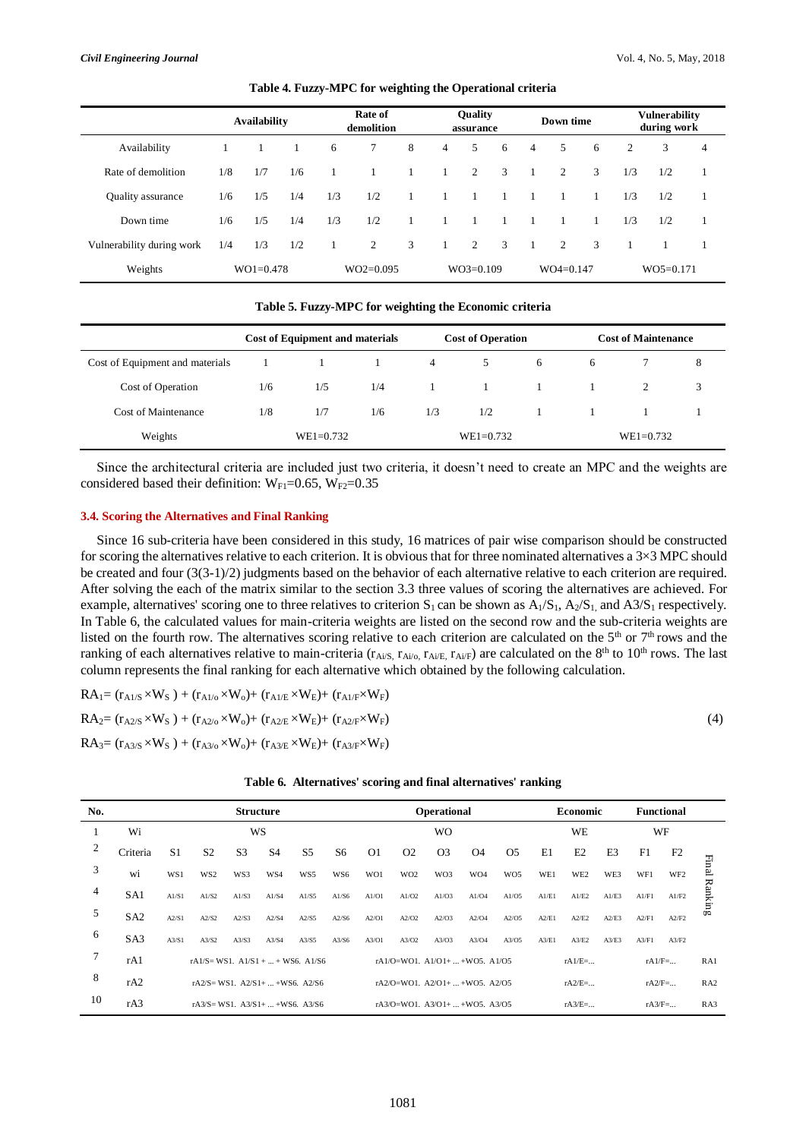|                           |     | <b>Availability</b> |     |     | Rate of<br>demolition |   |                | <b>Quality</b><br>assurance |   | Down time |             |   | <b>Vulnerability</b><br>during work |             |                |
|---------------------------|-----|---------------------|-----|-----|-----------------------|---|----------------|-----------------------------|---|-----------|-------------|---|-------------------------------------|-------------|----------------|
| Availability              |     |                     |     | 6   | $7\overline{ }$       | 8 | $\overline{4}$ | 5                           | 6 | 4         | 5           | 6 | 2                                   | 3           | $\overline{4}$ |
| Rate of demolition        | 1/8 | 1/7                 | 1/6 |     |                       |   |                | 2                           | 3 |           | 2           | 3 | 1/3                                 | 1/2         | $\mathbf{1}$   |
| Quality assurance         | 1/6 | 1/5                 | 1/4 | 1/3 | 1/2                   |   |                |                             |   |           |             |   | 1/3                                 | 1/2         | $\mathbf{1}$   |
| Down time                 | 1/6 | 1/5                 | 1/4 | 1/3 | 1/2                   |   |                |                             |   |           |             |   | 1/3                                 | 1/2         | -1             |
| Vulnerability during work | 1/4 | 1/3                 | 1/2 |     | 2                     | 3 |                | 2                           | 3 |           | 2           | 3 |                                     |             |                |
| Weights                   |     | $WO1 = 0.478$       |     |     | $WO2=0.095$           |   |                | $WO3=0.109$                 |   |           | $WO4=0.147$ |   |                                     | $WO5=0.171$ |                |

### **Table 4. Fuzzy-MPC for weighting the Operational criteria**

#### **Table 5. Fuzzy-MPC for weighting the Economic criteria**

|                                 |               | <b>Cost of Equipment and materials</b> |     |     | <b>Cost of Operation</b> |          | <b>Cost of Maintenance</b> |  |   |  |  |
|---------------------------------|---------------|----------------------------------------|-----|-----|--------------------------|----------|----------------------------|--|---|--|--|
| Cost of Equipment and materials |               |                                        |     | 4   | 5                        | 6        | 6                          |  | 8 |  |  |
| Cost of Operation               | 1/6           | 1/5                                    | 1/4 |     | $\sim$ 1                 | $\sim$ 1 |                            |  | 3 |  |  |
| Cost of Maintenance             | 1/8           | 1/7                                    | 1/6 | 1/3 | 1/2                      |          |                            |  |   |  |  |
| Weights                         | $WE1 = 0.732$ |                                        |     |     | $WE1 = 0.732$            |          | $WE1 = 0.732$              |  |   |  |  |

Since the architectural criteria are included just two criteria, it doesn't need to create an MPC and the weights are considered based their definition:  $W_{F1}=0.65$ ,  $W_{F2}=0.35$ 

### **3.4. Scoring the Alternatives and Final Ranking**

Since 16 sub-criteria have been considered in this study, 16 matrices of pair wise comparison should be constructed for scoring the alternatives relative to each criterion. It is obvious that for three nominated alternatives a 3×3 MPC should be created and four  $(3(3-1)/2)$  judgments based on the behavior of each alternative relative to each criterion are required. After solving the each of the matrix similar to the section 3.3 three values of scoring the alternatives are achieved. For example, alternatives' scoring one to three relatives to criterion  $S_1$  can be shown as  $A_1/S_1$ ,  $A_2/S_1$ , and  $A_3/S_1$  respectively. In Table 6, the calculated values for main-criteria weights are listed on the second row and the sub-criteria weights are listed on the fourth row. The alternatives scoring relative to each criterion are calculated on the  $5<sup>th</sup>$  or  $7<sup>th</sup>$  rows and the ranking of each alternatives relative to main-criteria ( $r_{Ai/S}$ ,  $r_{Ai/O}$ ,  $r_{Ai/F}$ ) are calculated on the 8<sup>th</sup> to 10<sup>th</sup> rows. The last column represents the final ranking for each alternative which obtained by the following calculation.

$$
RA_{1} = (r_{A1/S} \times W_{S}) + (r_{A1/O} \times W_{o}) + (r_{A1/E} \times W_{E}) + (r_{A1/F} \times W_{F})
$$
  
\n
$$
RA_{2} = (r_{A2/S} \times W_{S}) + (r_{A2/O} \times W_{o}) + (r_{A2/E} \times W_{E}) + (r_{A2/F} \times W_{F})
$$
  
\n
$$
RA_{3} = (r_{A3/S} \times W_{S}) + (r_{A3/O} \times W_{o}) + (r_{A3/E} \times W_{E}) + (r_{A3/F} \times W_{F})
$$
\n(4)

| No. |                 |                |                 | <b>Structure</b> |                |                                           |                | Operational    |                 |                 |                                |                 |       | Economic        |                |          | <b>Functional</b> |         |
|-----|-----------------|----------------|-----------------|------------------|----------------|-------------------------------------------|----------------|----------------|-----------------|-----------------|--------------------------------|-----------------|-------|-----------------|----------------|----------|-------------------|---------|
| л   | Wi              |                |                 | WS               |                |                                           |                |                |                 | <b>WO</b>       |                                |                 |       | WE              |                | WF       |                   |         |
| 2   | Criteria        | S <sub>1</sub> | S <sub>2</sub>  | S <sub>3</sub>   | S <sub>4</sub> | S <sub>5</sub>                            | S <sub>6</sub> | O <sub>1</sub> | O <sub>2</sub>  | O <sub>3</sub>  | <b>O4</b>                      | O <sub>5</sub>  | E1    | E2              | E <sub>3</sub> | F1       | F2                |         |
| 3   | wi              | WS1            | WS <sub>2</sub> | WS3              | WS4            | WS5                                       | WS6            | WO1            | WO <sub>2</sub> | WO <sub>3</sub> | WO <sub>4</sub>                | WO <sub>5</sub> | WE1   | WE <sub>2</sub> | WE3            | WF1      | WF <sub>2</sub>   | Enal    |
| 4   | SA1             | A1/S1          | A1/S2           | A1/S3            | A1/S4          | A1/S5                                     | A1/S6          | A1/O1          | AI/O2           | AI/O3           | Al/O4                          | AI/O5           | A1/E1 | AI/E2           | AI/E3          | AI/F1    | A1/F2             | Ranking |
| 5   | SA <sub>2</sub> | A2/S1          | A2/S2           | A2/S3            | A2/S4          | A2/S5                                     | A2/S6          | A2/O1          | A2/O2           | A2/O3           | A2/O4                          | A2/O5           | A2/E1 | A2/E2           | A2/E3          | A2/F1    | A2/F2             |         |
| 6   | S <sub>A3</sub> | A3/S1          | A3/S2           | A3/S3            | A3/S4          | A3/S5                                     | A3/S6          | A3/O1          | A3/O2           | A3/O3           | A3/O4                          | A3/O5           | A3/E1 | A3/E2           | A3/E3          | A3/F1    | A3/F2             |         |
| 7   | rA1             |                |                 |                  |                | rA1/S= WS1. $A1/S1 +  + WS6$ . A1/S6      |                |                |                 |                 | rA1/O=WO1. A1/O1+  +WO5. A1/O5 |                 |       | $rA1/E=$        |                | $rA1/F=$ |                   | RA1     |
| 8   | rA2             |                |                 |                  |                | $rA2/S = WS1$ . $A2/S1+  + WS6$ . $A2/S6$ |                |                |                 |                 | rA2/O=WO1. A2/O1+  +WO5. A2/O5 |                 |       | $rA2/E=$        |                | $rA2/F=$ |                   | RA2     |
| 10  | rA3             |                |                 |                  |                | rA3/S = WS1. $A3/S1+  + WS6$ . $A3/S6$    |                |                |                 |                 | rA3/O=WO1. A3/O1+  +WO5. A3/O5 |                 |       | $rA3/E=$        |                | $rA3/F=$ |                   | RA3     |

|  |  |  | Table 6. Alternatives' scoring and final alternatives' ranking |  |  |  |  |
|--|--|--|----------------------------------------------------------------|--|--|--|--|
|--|--|--|----------------------------------------------------------------|--|--|--|--|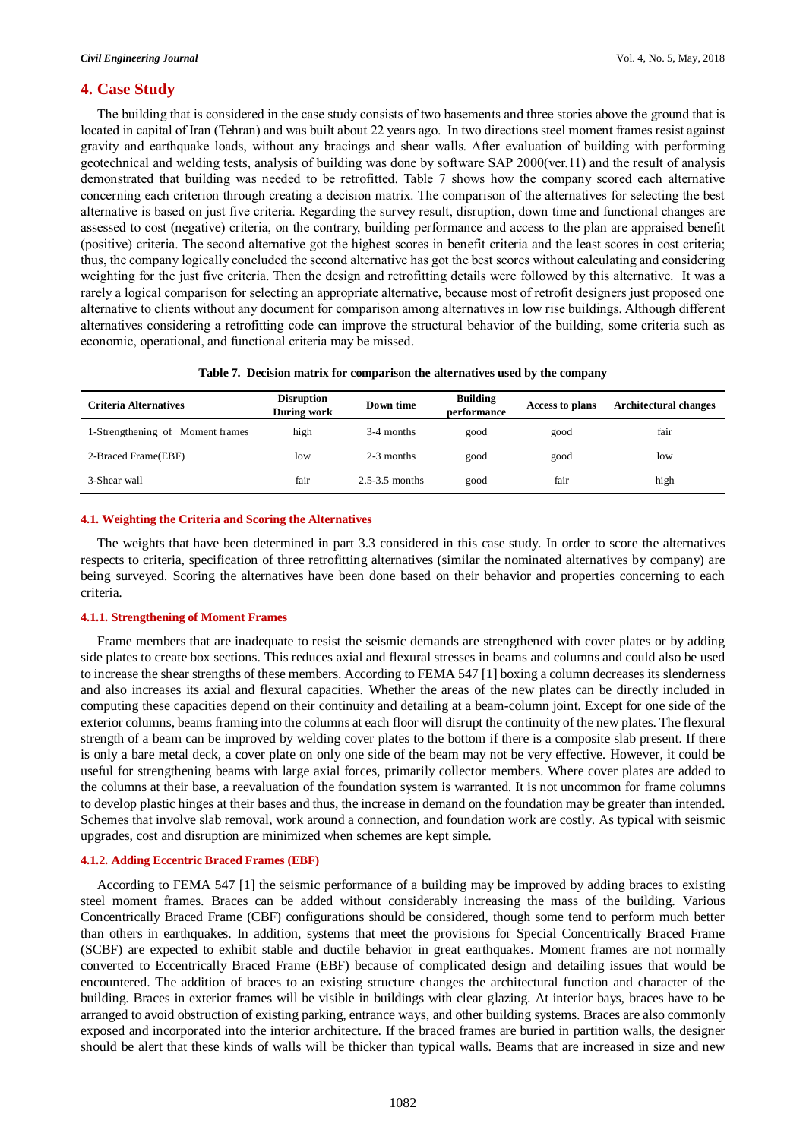## **4. Case Study**

The building that is considered in the case study consists of two basements and three stories above the ground that is located in capital of Iran (Tehran) and was built about 22 years ago. In two directions steel moment frames resist against gravity and earthquake loads, without any bracings and shear walls. After evaluation of building with performing geotechnical and welding tests, analysis of building was done by software SAP 2000(ver.11) and the result of analysis demonstrated that building was needed to be retrofitted. Table 7 shows how the company scored each alternative concerning each criterion through creating a decision matrix. The comparison of the alternatives for selecting the best alternative is based on just five criteria. Regarding the survey result, disruption, down time and functional changes are assessed to cost (negative) criteria, on the contrary, building performance and access to the plan are appraised benefit (positive) criteria. The second alternative got the highest scores in benefit criteria and the least scores in cost criteria; thus, the company logically concluded the second alternative has got the best scores without calculating and considering weighting for the just five criteria. Then the design and retrofitting details were followed by this alternative. It was a rarely a logical comparison for selecting an appropriate alternative, because most of retrofit designers just proposed one alternative to clients without any document for comparison among alternatives in low rise buildings. Although different alternatives considering a retrofitting code can improve the structural behavior of the building, some criteria such as economic, operational, and functional criteria may be missed.

| Criteria Alternatives            | <b>Disruption</b><br>During work | Down time          | <b>Building</b><br>performance | <b>Access to plans</b> | <b>Architectural changes</b> |
|----------------------------------|----------------------------------|--------------------|--------------------------------|------------------------|------------------------------|
| 1-Strengthening of Moment frames | high                             | 3-4 months         | good                           | good                   | fair                         |
| 2-Braced Frame(EBF)              | low                              | 2-3 months         | good                           | good                   | low                          |
| 3-Shear wall                     | fair                             | $2.5 - 3.5$ months | good                           | fair                   | high                         |

#### **4.1. Weighting the Criteria and Scoring the Alternatives**

The weights that have been determined in part 3.3 considered in this case study. In order to score the alternatives respects to criteria, specification of three retrofitting alternatives (similar the nominated alternatives by company) are being surveyed. Scoring the alternatives have been done based on their behavior and properties concerning to each criteria.

#### **4.1.1. Strengthening of Moment Frames**

Frame members that are inadequate to resist the seismic demands are strengthened with cover plates or by adding side plates to create box sections. This reduces axial and flexural stresses in beams and columns and could also be used to increase the shear strengths of these members. According to FEMA 547 [1] boxing a column decreases its slenderness and also increases its axial and flexural capacities. Whether the areas of the new plates can be directly included in computing these capacities depend on their continuity and detailing at a beam-column joint. Except for one side of the exterior columns, beams framing into the columns at each floor will disrupt the continuity of the new plates. The flexural strength of a beam can be improved by welding cover plates to the bottom if there is a composite slab present. If there is only a bare metal deck, a cover plate on only one side of the beam may not be very effective. However, it could be useful for strengthening beams with large axial forces, primarily collector members. Where cover plates are added to the columns at their base, a reevaluation of the foundation system is warranted. It is not uncommon for frame columns to develop plastic hinges at their bases and thus, the increase in demand on the foundation may be greater than intended. Schemes that involve slab removal, work around a connection, and foundation work are costly. As typical with seismic upgrades, cost and disruption are minimized when schemes are kept simple.

#### **4.1.2. Adding Eccentric Braced Frames (EBF)**

According to FEMA 547 [1] the seismic performance of a building may be improved by adding braces to existing steel moment frames. Braces can be added without considerably increasing the mass of the building. Various Concentrically Braced Frame (CBF) configurations should be considered, though some tend to perform much better than others in earthquakes. In addition, systems that meet the provisions for Special Concentrically Braced Frame (SCBF) are expected to exhibit stable and ductile behavior in great earthquakes. Moment frames are not normally converted to Eccentrically Braced Frame (EBF) because of complicated design and detailing issues that would be encountered. The addition of braces to an existing structure changes the architectural function and character of the building. Braces in exterior frames will be visible in buildings with clear glazing. At interior bays, braces have to be arranged to avoid obstruction of existing parking, entrance ways, and other building systems. Braces are also commonly exposed and incorporated into the interior architecture. If the braced frames are buried in partition walls, the designer should be alert that these kinds of walls will be thicker than typical walls. Beams that are increased in size and new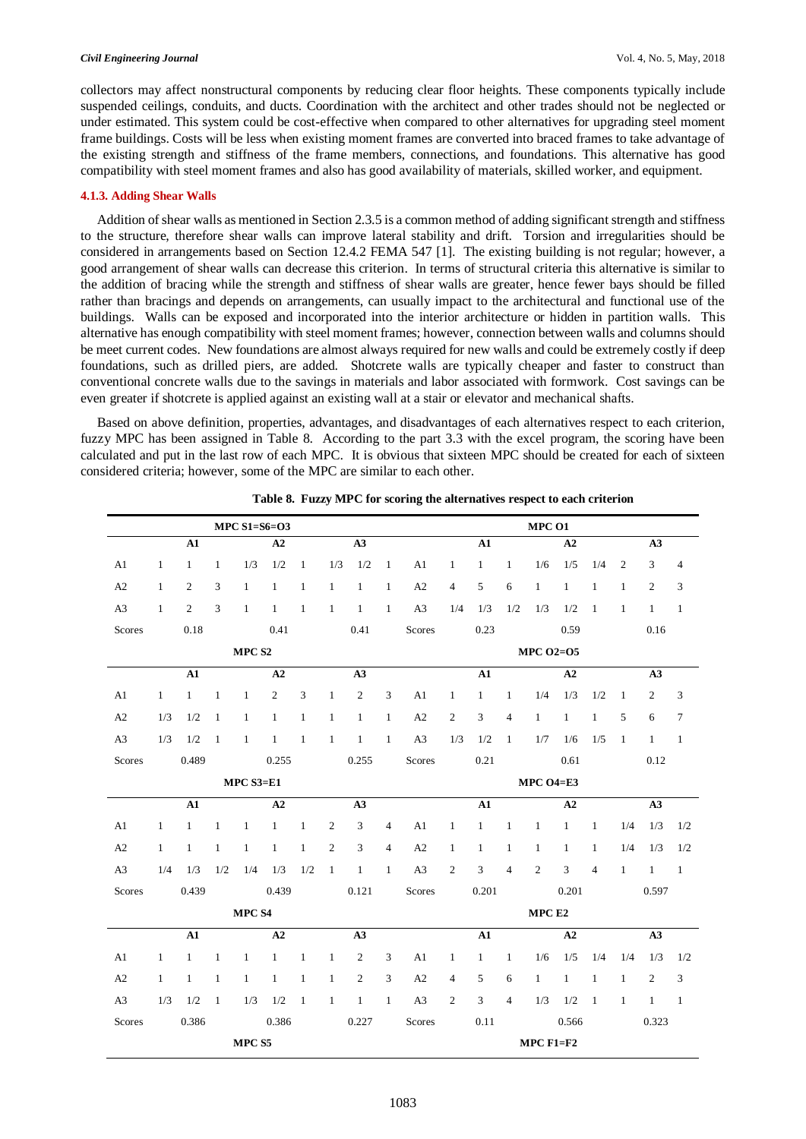#### *Civil Engineering Journal* Vol. 4, No. 5, May, 2018

collectors may affect nonstructural components by reducing clear floor heights. These components typically include suspended ceilings, conduits, and ducts. Coordination with the architect and other trades should not be neglected or under estimated. This system could be cost-effective when compared to other alternatives for upgrading steel moment frame buildings. Costs will be less when existing moment frames are converted into braced frames to take advantage of the existing strength and stiffness of the frame members, connections, and foundations. This alternative has good compatibility with steel moment frames and also has good availability of materials, skilled worker, and equipment.

## **4.1.3. Adding Shear Walls**

Addition of shear walls as mentioned in Section 2.3.5 is a common method of adding significant strength and stiffness to the structure, therefore shear walls can improve lateral stability and drift. Torsion and irregularities should be considered in arrangements based on Section 12.4.2 FEMA 547 [1]. The existing building is not regular; however, a good arrangement of shear walls can decrease this criterion. In terms of structural criteria this alternative is similar to the addition of bracing while the strength and stiffness of shear walls are greater, hence fewer bays should be filled rather than bracings and depends on arrangements, can usually impact to the architectural and functional use of the buildings. Walls can be exposed and incorporated into the interior architecture or hidden in partition walls. This alternative has enough compatibility with steel moment frames; however, connection between walls and columns should be meet current codes. New foundations are almost always required for new walls and could be extremely costly if deep foundations, such as drilled piers, are added. Shotcrete walls are typically cheaper and faster to construct than conventional concrete walls due to the savings in materials and labor associated with formwork. Cost savings can be even greater if shotcrete is applied against an existing wall at a stair or elevator and mechanical shafts.

Based on above definition, properties, advantages, and disadvantages of each alternatives respect to each criterion, fuzzy MPC has been assigned in Table 8. According to the part 3.3 with the excel program, the scoring have been calculated and put in the last row of each MPC. It is obvious that sixteen MPC should be created for each of sixteen considered criteria; however, some of the MPC are similar to each other.

|                    | MPC $S1 = S6 = O3$   |                |                |              |              |                |                |                |                                |                  |                         |                |                | MPC 01       |              |                |              |                |                |  |  |  |  |
|--------------------|----------------------|----------------|----------------|--------------|--------------|----------------|----------------|----------------|--------------------------------|------------------|-------------------------|----------------|----------------|--------------|--------------|----------------|--------------|----------------|----------------|--|--|--|--|
|                    | ${\bf A1}$           |                |                | A2           |              |                | A3             |                |                                |                  | ${\bf A1}$              |                |                | A2           |              |                | A3           |                |                |  |  |  |  |
| A1                 | $\mathbf{1}$         | $\mathbf{1}$   | $\mathbf{1}$   | 1/3          | 1/2          | $\mathbf{1}$   | 1/3            | 1/2            | $\mathbf{1}$                   | A1               | $\mathbf{1}$            | $\mathbf{1}$   | $\mathbf{1}$   | 1/6          | 1/5          | 1/4            | 2            | 3              | $\overline{4}$ |  |  |  |  |
| A2                 | $\mathbf{1}$         | $\overline{c}$ | 3              | $\mathbf{1}$ | $\mathbf{1}$ | $\mathbf{1}$   | $\mathbf{1}$   | $\mathbf{1}$   | $\mathbf{1}$                   | A2               | $\overline{4}$          | 5              | 6              | $\mathbf{1}$ | $\mathbf{1}$ | $\mathbf{1}$   | $\mathbf{1}$ | 2              | 3              |  |  |  |  |
| A <sub>3</sub>     | $\mathbf{1}$         | 2              | 3              | $\mathbf{1}$ | $\mathbf{1}$ | $\mathbf{1}$   | $\mathbf{1}$   | $\overline{1}$ | $\mathbf{1}$                   | A <sub>3</sub>   | 1/4                     | 1/3            | 1/2            | 1/3          | 1/2          | $\mathbf{1}$   | 1            | $\mathbf{1}$   | $\overline{1}$ |  |  |  |  |
| Scores             | 0.41<br>0.41<br>0.18 |                |                |              |              | Scores         | 0.23<br>0.59   |                |                                |                  |                         |                |                | 0.16         |              |                |              |                |                |  |  |  |  |
|                    | MPC S2               |                |                |              |              |                |                |                |                                | <b>MPC O2=05</b> |                         |                |                |              |              |                |              |                |                |  |  |  |  |
|                    |                      | ${\bf A1}$     |                | A2           |              |                | A3             |                |                                |                  | ${\bf A1}$              |                |                |              | A2           |                | A3           |                |                |  |  |  |  |
| A1                 | $\mathbf{1}$         | 1              | $\overline{1}$ | $\mathbf{1}$ | 2            | 3              | $\mathbf{1}$   | 2              | 3                              | A1               | $\mathbf{1}$            | $\mathbf{1}$   | $\mathbf{1}$   | 1/4          | 1/3          | 1/2            | 1            | $\overline{2}$ | 3              |  |  |  |  |
| A2                 | 1/3                  | 1/2            | $\mathbf{1}$   | $\mathbf{1}$ | $\mathbf{1}$ | $\mathbf{1}$   | $\mathbf{1}$   | $\mathbf{1}$   | $\mathbf{1}$                   | A2               | 2                       | $\mathfrak{Z}$ | $\overline{4}$ | $\mathbf{1}$ | $\mathbf{1}$ | $\mathbf{1}$   | 5            | 6              | $\tau$         |  |  |  |  |
| A <sub>3</sub>     | 1/3                  | 1/2            | $\overline{1}$ | $\mathbf{1}$ | $\mathbf{1}$ | $\mathbf{1}$   | $\overline{1}$ | $\overline{1}$ | $\overline{1}$                 | A3               | 1/3                     | 1/2            | $\mathbf{1}$   | 1/7          | 1/6          | 1/5            | $\mathbf{1}$ | $\mathbf{1}$   | $\overline{1}$ |  |  |  |  |
| Scores             | 0.489<br>0.255       |                |                |              |              |                | 0.255          |                | Scores<br>0.21<br>0.61<br>0.12 |                  |                         |                |                |              |              |                |              |                |                |  |  |  |  |
| $MPCS3=E1$         |                      |                |                |              |              |                |                |                |                                |                  | MPC $O4=E3$             |                |                |              |              |                |              |                |                |  |  |  |  |
|                    | ${\bf A1}$           |                |                |              | A2           |                |                | A3             |                                | ${\bf A1}$       |                         |                | A2             |              |              | A3             |              |                |                |  |  |  |  |
| A1                 | $\mathbf{1}$         | -1             | $\mathbf{1}$   | $\mathbf{1}$ | $\mathbf{1}$ | $\mathbf{1}$   | 2              | $\mathfrak{Z}$ | $\overline{4}$                 | A1               | $\mathbf{1}$            | $\mathbf{1}$   | $\mathbf{1}$   | $\mathbf{1}$ | $\mathbf{1}$ | $\mathbf{1}$   | 1/4          | 1/3            | 1/2            |  |  |  |  |
| A2                 | $\mathbf{1}$         | -1             | $\mathbf{1}$   | $\mathbf{1}$ | $\mathbf{1}$ | $\mathbf{1}$   | 2              | 3              | $\overline{4}$                 | A2               | $\mathbf{1}$            | $\mathbf{1}$   | $\mathbf{1}$   | $\mathbf{1}$ | $\mathbf{1}$ | $\mathbf{1}$   | 1/4          | 1/3            | 1/2            |  |  |  |  |
| A <sub>3</sub>     | 1/4                  | 1/3            | 1/2            |              | $1/4$ $1/3$  | 1/2            | $\overline{1}$ | $\,$ $\,$ $\,$ | $\mathbf{1}$                   | A3               | 2                       | $\mathbf{3}$   | $\overline{4}$ | 2            | $\mathbf{3}$ | $\overline{4}$ | $\mathbf{1}$ | $1 \quad 1$    |                |  |  |  |  |
| Scores             |                      | 0.439          |                |              | 0.439        |                |                | 0.121          |                                | Scores           | 0.201<br>0.201<br>0.597 |                |                |              |              |                |              |                |                |  |  |  |  |
|                    | MPC S4               |                |                |              |              |                |                |                |                                |                  | MPC E2                  |                |                |              |              |                |              |                |                |  |  |  |  |
|                    |                      | ${\bf A1}$     |                | A2           |              |                |                | A3             |                                |                  | ${\bf A1}$              |                |                |              | A2           |                |              | A3             |                |  |  |  |  |
| A1                 | $\mathbf{1}$         | $\mathbf{1}$   | $\overline{1}$ | $\mathbf{1}$ | $\mathbf{1}$ | $\mathbf{1}$   | $\mathbf{1}$   | 2              | 3                              | A1               | $\mathbf{1}$            | $\mathbf{1}$   | $\mathbf{1}$   | 1/6          | 1/5          | 1/4            | 1/4          | 1/3            | 1/2            |  |  |  |  |
| A2                 | $\mathbf{1}$         | $\mathbf{1}$   | $\mathbf{1}$   | $\mathbf{1}$ | $\mathbf{1}$ | $\mathbf{1}$   | $\mathbf{1}$   | 2              | $\mathbf{3}$                   | A2               | $\overline{4}$          | 5              | 6              | $\mathbf{1}$ | $\mathbf{1}$ | $\mathbf{1}$   | $\mathbf{1}$ | $\overline{2}$ | $\mathbf{3}$   |  |  |  |  |
| A <sub>3</sub>     | 1/3                  | 1/2            | $\overline{1}$ | 1/3          | 1/2          | $\overline{1}$ | $\overline{1}$ | $\overline{1}$ | $\overline{1}$                 | A <sub>3</sub>   | 2                       | $\mathfrak{Z}$ | $\overline{4}$ | 1/3          | 1/2          | $\overline{1}$ | $\mathbf{1}$ | $\overline{1}$ | $\overline{1}$ |  |  |  |  |
| Scores             | 0.386<br>0.386       |                |                |              |              | 0.227          |                | Scores         |                                | 0.11             |                         |                | 0.566          |              |              | 0.323          |              |                |                |  |  |  |  |
| $\rm MPC$ $\rm SS$ |                      |                |                |              |              |                |                |                |                                |                  |                         | $MPC F1 = F2$  |                |              |              |                |              |                |                |  |  |  |  |

**Table 8. Fuzzy MPC for scoring the alternatives respect to each criterion**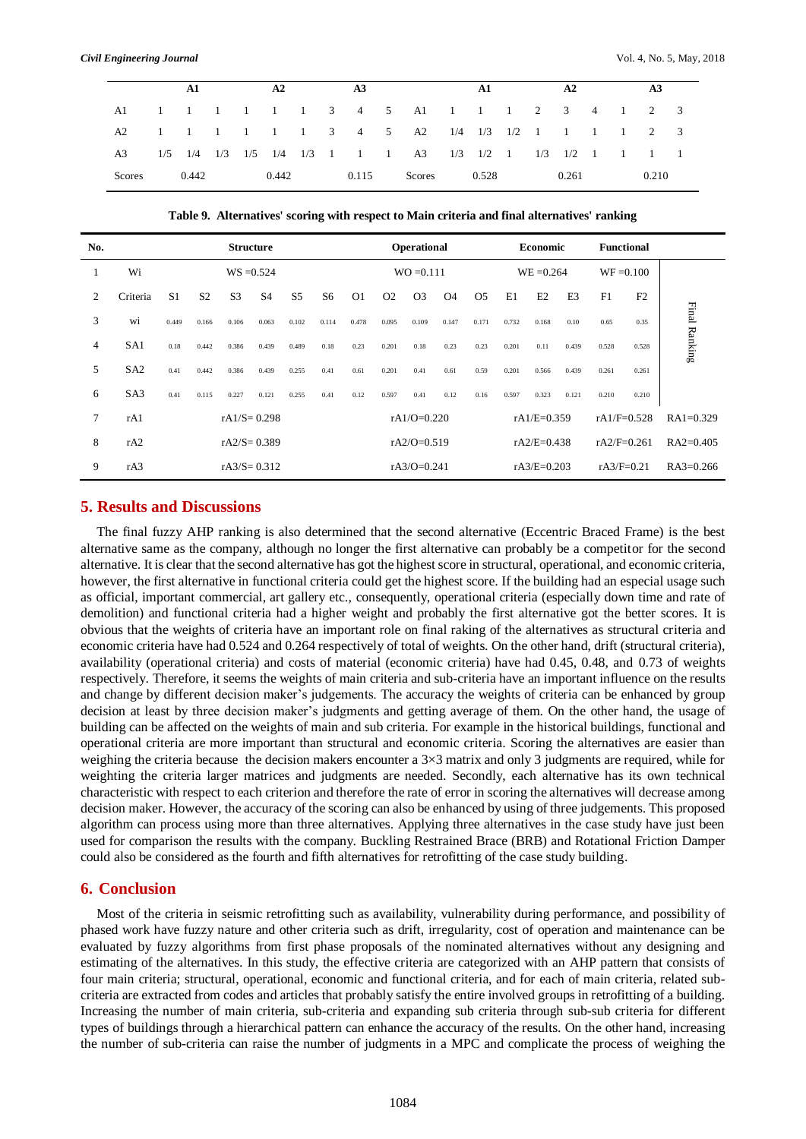|        | $\mathbf{A}$ 1 |  |  | A2    |  |  | A3    |  |  | A1                                                            |                |  | A2 |       |  | A <sub>3</sub> |       |  |  |
|--------|----------------|--|--|-------|--|--|-------|--|--|---------------------------------------------------------------|----------------|--|----|-------|--|----------------|-------|--|--|
|        |                |  |  |       |  |  |       |  |  | A1 1 1 1 1 1 1 3 4 5 A1 1 1 1 2 3 4 1 2 3                     |                |  |    |       |  |                |       |  |  |
|        |                |  |  |       |  |  |       |  |  | A2 1 1 1 1 1 1 3 4 5 A2 1/4 1/3 1/2 1 1 1 1 2 3               |                |  |    |       |  |                |       |  |  |
|        |                |  |  |       |  |  |       |  |  | A3 1/5 1/4 1/3 1/5 1/4 1/3 1 1 1 A3 1/3 1/2 1 1/3 1/2 1 1 1 1 |                |  |    |       |  |                |       |  |  |
| Scores | 0.442          |  |  | 0.442 |  |  | 0.115 |  |  |                                                               | $Scores$ 0.528 |  |    | 0.261 |  |                | 0.210 |  |  |

**Table 9. Alternatives' scoring with respect to Main criteria and final alternatives' ranking** 

| No.            |                 | <b>Structure</b> |                |                |                |                |                |                |                | Operational      |           |                |               | <b>Economic</b> |       | <b>Functional</b> |                |               |
|----------------|-----------------|------------------|----------------|----------------|----------------|----------------|----------------|----------------|----------------|------------------|-----------|----------------|---------------|-----------------|-------|-------------------|----------------|---------------|
| -1             | Wi              | $WS = 0.524$     |                |                |                |                |                |                |                | $WO = 0.111$     |           |                |               | $WE = 0.264$    |       | $WF = 0.100$      |                |               |
| 2              | Criteria        | S <sub>1</sub>   | S <sub>2</sub> | S <sub>3</sub> | S <sub>4</sub> | S <sub>5</sub> | S <sub>6</sub> | O <sub>1</sub> | O <sub>2</sub> | O <sub>3</sub>   | <b>O4</b> | O <sub>5</sub> | E1            | E2              | E3    | F1                | F <sub>2</sub> |               |
| 3              | wi              | 0.449            | 0.166          | 0.106          | 0.063          | 0.102          | 0.114          | 0.478          | 0.095          | 0.109            | 0.147     | 0.171          | 0.732         | 0.168           | 0.10  | 0.65              | 0.35           | Final Ranking |
| 4              | SA <sub>1</sub> | 0.18             | 0.442          | 0.386          | 0.439          | 0.489          | 0.18           | 0.23           | 0.201          | 0.18             | 0.23      | 0.23           | 0.201         | 0.11            | 0.439 | 0.528             | 0.528          |               |
| 5              | SA <sub>2</sub> | 0.41             | 0.442          | 0.386          | 0.439          | 0.255          | 0.41           | 0.61           | 0.201          | 0.41             | 0.61      | 0.59           | 0.201         | 0.566           | 0.439 | 0.261             | 0.261          |               |
| 6              | SA <sub>3</sub> | 0.41             | 0.115          | 0.227          | 0.121          | 0.255          | 0.41           | 0.12           | 0.597          | 0.41             | 0.12      | 0.16           | 0.597         | 0.323           | 0.121 | 0.210             | 0.210          |               |
| $\overline{7}$ | rA1             | $rA1/S = 0.298$  |                |                |                |                |                |                |                | rA $1/O = 0.220$ |           |                | $rA1/E=0.359$ |                 |       | $rA1/F=0.528$     |                | $RA1=0.329$   |
| 8              | rA2             | $rA2/S=0.389$    |                |                |                |                |                |                |                | $rA2/O=0.519$    |           |                | $rA2/E=0.438$ |                 |       | $rA2/F=0.261$     |                | $RA2=0.405$   |
| 9              | rA3             | $rA3/S=0.312$    |                |                |                |                |                |                |                | $rA3/O=0.241$    |           |                | $rA3/E=0.203$ |                 |       | $rA3/F=0.21$      |                | $RA3=0.266$   |

## **5. Results and Discussions**

The final fuzzy AHP ranking is also determined that the second alternative (Eccentric Braced Frame) is the best alternative same as the company, although no longer the first alternative can probably be a competitor for the second alternative. It is clear that the second alternative has got the highest score in structural, operational, and economic criteria, however, the first alternative in functional criteria could get the highest score. If the building had an especial usage such as official, important commercial, art gallery etc., consequently, operational criteria (especially down time and rate of demolition) and functional criteria had a higher weight and probably the first alternative got the better scores. It is obvious that the weights of criteria have an important role on final raking of the alternatives as structural criteria and economic criteria have had 0.524 and 0.264 respectively of total of weights. On the other hand, drift (structural criteria), availability (operational criteria) and costs of material (economic criteria) have had 0.45, 0.48, and 0.73 of weights respectively. Therefore, it seems the weights of main criteria and sub-criteria have an important influence on the results and change by different decision maker's judgements. The accuracy the weights of criteria can be enhanced by group decision at least by three decision maker's judgments and getting average of them. On the other hand, the usage of building can be affected on the weights of main and sub criteria. For example in the historical buildings, functional and operational criteria are more important than structural and economic criteria. Scoring the alternatives are easier than weighing the criteria because the decision makers encounter a  $3\times3$  matrix and only 3 judgments are required, while for weighting the criteria larger matrices and judgments are needed. Secondly, each alternative has its own technical characteristic with respect to each criterion and therefore the rate of error in scoring the alternatives will decrease among decision maker. However, the accuracy of the scoring can also be enhanced by using of three judgements. This proposed algorithm can process using more than three alternatives. Applying three alternatives in the case study have just been used for comparison the results with the company. Buckling Restrained Brace (BRB) and Rotational Friction Damper could also be considered as the fourth and fifth alternatives for retrofitting of the case study building.

## **6. Conclusion**

Most of the criteria in seismic retrofitting such as availability, vulnerability during performance, and possibility of phased work have fuzzy nature and other criteria such as drift, irregularity, cost of operation and maintenance can be evaluated by fuzzy algorithms from first phase proposals of the nominated alternatives without any designing and estimating of the alternatives. In this study, the effective criteria are categorized with an AHP pattern that consists of four main criteria; structural, operational, economic and functional criteria, and for each of main criteria, related subcriteria are extracted from codes and articles that probably satisfy the entire involved groups in retrofitting of a building. Increasing the number of main criteria, sub-criteria and expanding sub criteria through sub-sub criteria for different types of buildings through a hierarchical pattern can enhance the accuracy of the results. On the other hand, increasing the number of sub-criteria can raise the number of judgments in a MPC and complicate the process of weighing the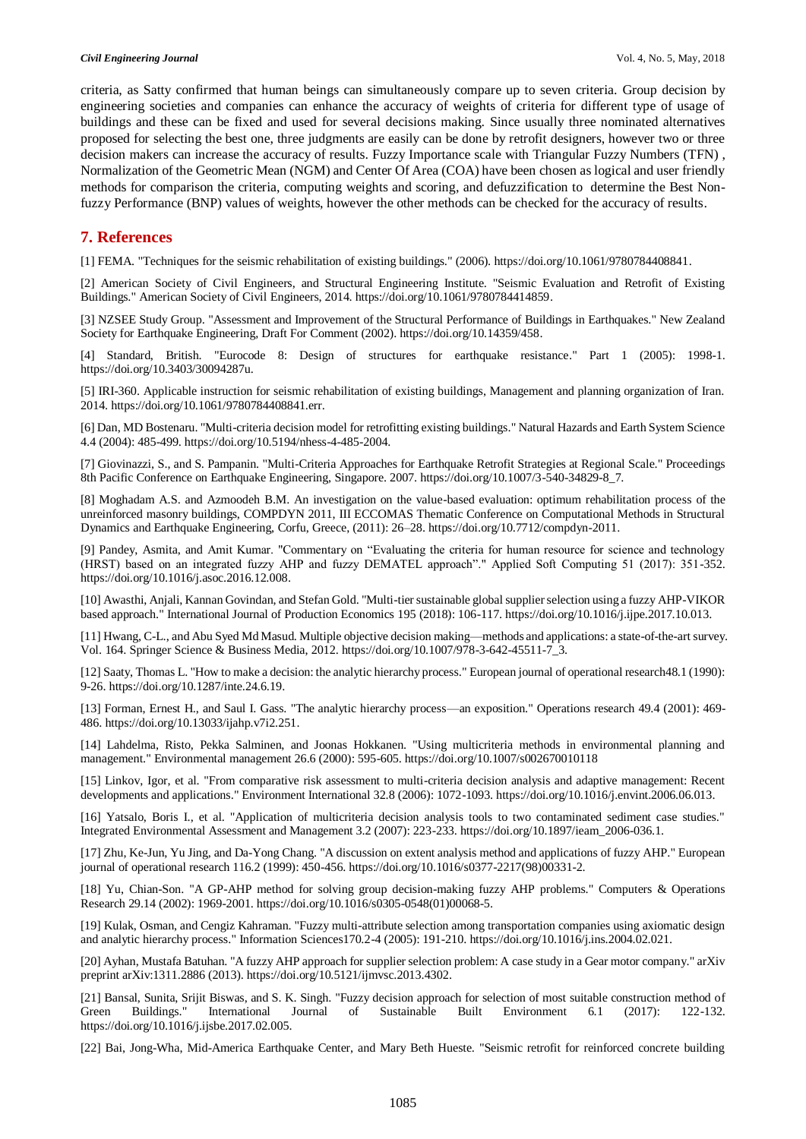criteria, as Satty confirmed that human beings can simultaneously compare up to seven criteria. Group decision by engineering societies and companies can enhance the accuracy of weights of criteria for different type of usage of buildings and these can be fixed and used for several decisions making. Since usually three nominated alternatives proposed for selecting the best one, three judgments are easily can be done by retrofit designers, however two or three decision makers can increase the accuracy of results. Fuzzy Importance scale with Triangular Fuzzy Numbers (TFN) , Normalization of the Geometric Mean (NGM) and Center Of Area (COA) have been chosen as logical and user friendly methods for comparison the criteria, computing weights and scoring, and defuzzification to determine the Best Nonfuzzy Performance (BNP) values of weights, however the other methods can be checked for the accuracy of results.

# **7. References**

[1] FEMA. "Techniques for the seismic rehabilitation of existing buildings." (2006). https://doi.org/10.1061/9780784408841.

[2] American Society of Civil Engineers, and Structural Engineering Institute. "Seismic Evaluation and Retrofit of Existing Buildings." American Society of Civil Engineers, 2014. https://doi.org/10.1061/9780784414859.

[3] NZSEE Study Group. "Assessment and Improvement of the Structural Performance of Buildings in Earthquakes." New Zealand Society for Earthquake Engineering, Draft For Comment (2002). https://doi.org/10.14359/458.

[4] Standard, British. "Eurocode 8: Design of structures for earthquake resistance." Part 1 (2005): 1998-1. https://doi.org/10.3403/30094287u.

[5] IRI-360. Applicable instruction for seismic rehabilitation of existing buildings, Management and planning organization of Iran. 2014. https://doi.org/10.1061/9780784408841.err.

[6] Dan, MD Bostenaru. "Multi-criteria decision model for retrofitting existing buildings." Natural Hazards and Earth System Science 4.4 (2004): 485-499. https://doi.org/10.5194/nhess-4-485-2004.

[7] Giovinazzi, S., and S. Pampanin. "Multi-Criteria Approaches for Earthquake Retrofit Strategies at Regional Scale." Proceedings 8th Pacific Conference on Earthquake Engineering, Singapore. 2007. https://doi.org/10.1007/3-540-34829-8\_7.

[8] Moghadam A.S. and Azmoodeh B.M. An investigation on the value-based evaluation: optimum rehabilitation process of the unreinforced masonry buildings, COMPDYN 2011, III ECCOMAS Thematic Conference on Computational Methods in Structural Dynamics and Earthquake Engineering, Corfu, Greece, (2011): 26–28. https://doi.org/10.7712/compdyn-2011.

[9] Pandey, Asmita, and Amit Kumar. "Commentary on "Evaluating the criteria for human resource for science and technology (HRST) based on an integrated fuzzy AHP and fuzzy DEMATEL approach"." Applied Soft Computing 51 (2017): 351-352. https://doi.org/10.1016/j.asoc.2016.12.008.

[10] Awasthi, Anjali, Kannan Govindan, and Stefan Gold. "Multi-tier sustainable global supplier selection using a fuzzy AHP-VIKOR based approach." International Journal of Production Economics 195 (2018): 106-117. https://doi.org/10.1016/j.ijpe.2017.10.013.

[11] Hwang, C-L., and Abu Syed Md Masud. Multiple objective decision making—methods and applications: a state-of-the-art survey. Vol. 164. Springer Science & Business Media, 2012. https://doi.org/10.1007/978-3-642-45511-7\_3.

[12] Saaty, Thomas L. "How to make a decision: the analytic hierarchy process." European journal of operational research48.1 (1990): 9-26. https://doi.org/10.1287/inte.24.6.19.

[13] Forman, Ernest H., and Saul I. Gass. "The analytic hierarchy process—an exposition." Operations research 49.4 (2001): 469- 486. https://doi.org/10.13033/ijahp.v7i2.251.

[14] Lahdelma, Risto, Pekka Salminen, and Joonas Hokkanen. "Using multicriteria methods in environmental planning and management." Environmental management 26.6 (2000): 595-605. https://doi.org/10.1007/s002670010118

[15] Linkov, Igor, et al. "From comparative risk assessment to multi-criteria decision analysis and adaptive management: Recent developments and applications." Environment International 32.8 (2006): 1072-1093. https://doi.org/10.1016/j.envint.2006.06.013.

[16] Yatsalo, Boris I., et al. "Application of multicriteria decision analysis tools to two contaminated sediment case studies." Integrated Environmental Assessment and Management 3.2 (2007): 223-233. https://doi.org/10.1897/ieam\_2006-036.1.

[17] Zhu, Ke-Jun, Yu Jing, and Da-Yong Chang. "A discussion on extent analysis method and applications of fuzzy AHP." European journal of operational research 116.2 (1999): 450-456. https://doi.org/10.1016/s0377-2217(98)00331-2.

[18] Yu, Chian-Son. "A GP-AHP method for solving group decision-making fuzzy AHP problems." Computers & Operations Research 29.14 (2002): 1969-2001. https://doi.org/10.1016/s0305-0548(01)00068-5.

[19] Kulak, Osman, and Cengiz Kahraman. "Fuzzy multi-attribute selection among transportation companies using axiomatic design and analytic hierarchy process." Information Sciences170.2-4 (2005): 191-210. https://doi.org/10.1016/j.ins.2004.02.021.

[20] Ayhan, Mustafa Batuhan. "A fuzzy AHP approach for supplier selection problem: A case study in a Gear motor company." arXiv preprint arXiv:1311.2886 (2013). https://doi.org/10.5121/ijmvsc.2013.4302.

[21] Bansal, Sunita, Srijit Biswas, and S. K. Singh. "Fuzzy decision approach for selection of most suitable construction method of Green Buildings." International Journal of Sustainable Built Environment 6.1 (2017): 122-132. https://doi.org/10.1016/j.ijsbe.2017.02.005.

[22] Bai, Jong-Wha, Mid-America Earthquake Center, and Mary Beth Hueste. "Seismic retrofit for reinforced concrete building